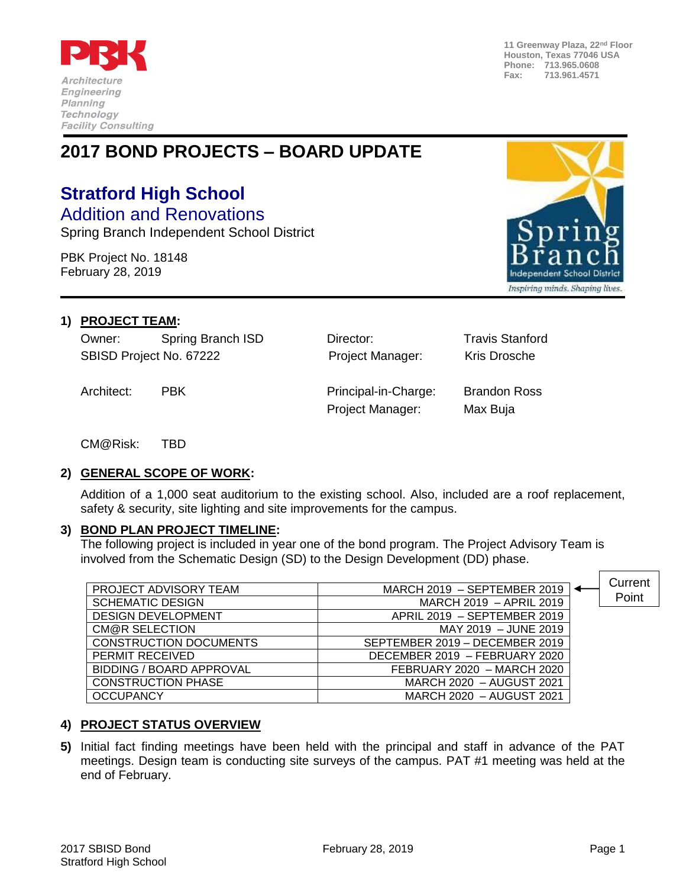

**11 Greenway Plaza, 22nd Floor Houston, Texas 77046 USA Phone: 713.965.0608 Fax: 713.961.4571**

## **2017 BOND PROJECTS – BOARD UPDATE**

# **Stratford High School**

Addition and Renovations Spring Branch Independent School District

PBK Project No. 18148



#### **1) PROJECT TEAM:**

February 28, 2019

Owner: Spring Branch ISD Director: Travis Stanford SBISD Project No. 67222 **Project Manager:** Kris Drosche

Architect: PBK Principal-in-Charge: Brandon Ross Project Manager: Max Buja

CM@Risk: TBD

#### **2) GENERAL SCOPE OF WORK:**

Addition of a 1,000 seat auditorium to the existing school. Also, included are a roof replacement, safety & security, site lighting and site improvements for the campus.

#### **3) BOND PLAN PROJECT TIMELINE:**

The following project is included in year one of the bond program. The Project Advisory Team is involved from the Schematic Design (SD) to the Design Development (DD) phase.

| PROJECT ADVISORY TEAM           | MARCH 2019 - SEPTEMBER 2019    | Current |
|---------------------------------|--------------------------------|---------|
|                                 |                                | Point   |
| <b>SCHEMATIC DESIGN</b>         | MARCH 2019 - APRIL 2019        |         |
| <b>DESIGN DEVELOPMENT</b>       | APRIL 2019 - SEPTEMBER 2019    |         |
| CM@R SELECTION                  | MAY 2019 - JUNE 2019           |         |
| <b>CONSTRUCTION DOCUMENTS</b>   | SEPTEMBER 2019 - DECEMBER 2019 |         |
| PERMIT RECEIVED                 | DECEMBER 2019 - FEBRUARY 2020  |         |
| <b>BIDDING / BOARD APPROVAL</b> | FEBRUARY 2020 - MARCH 2020     |         |
| <b>CONSTRUCTION PHASE</b>       | MARCH 2020 - AUGUST 2021       |         |
| <b>OCCUPANCY</b>                | MARCH 2020 - AUGUST 2021       |         |

### **4) PROJECT STATUS OVERVIEW**

**5)** Initial fact finding meetings have been held with the principal and staff in advance of the PAT meetings. Design team is conducting site surveys of the campus. PAT #1 meeting was held at the end of February.